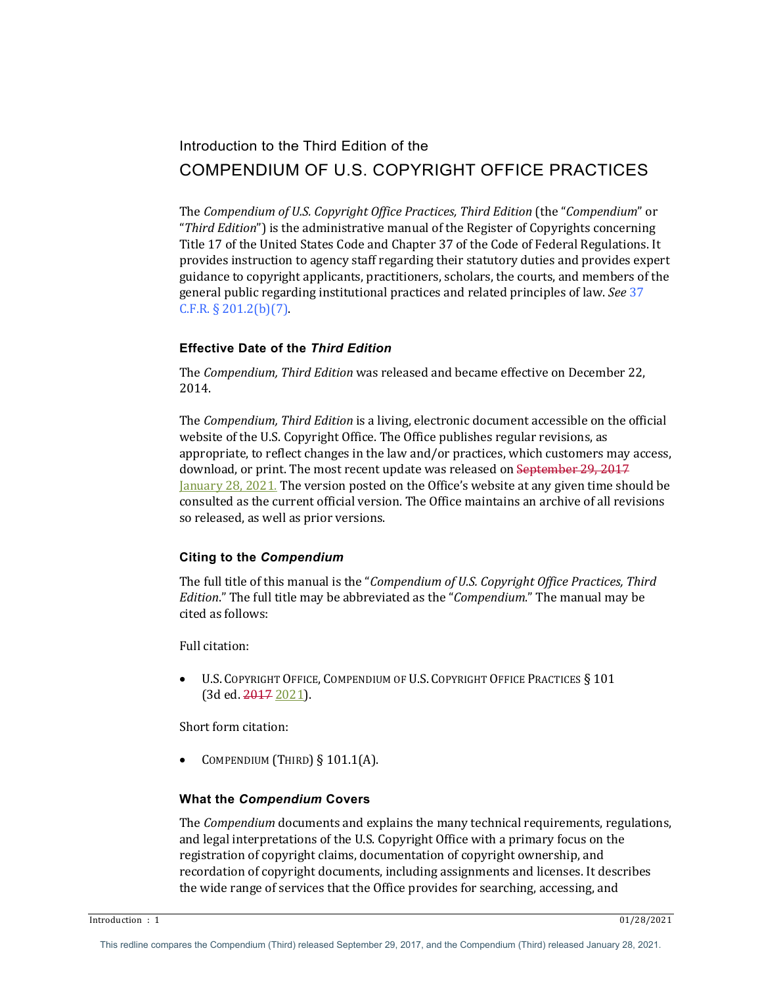# Introduction to the Third Edition of the COMPENDIUM OF U.S. COPYRIGHT OFFICE PRACTICES

The *Compendium of U.S. Copyright Office Practices, Third Edition* (the "*Compendium*" or "*Third Edition*") is the administrative manual of the Register of Copyrights concerning Title 17 of the United States Code and Chapter 37 of the Code of Federal Regulations. It provides instruction to agency staff regarding their statutory duties and provides expert guidance to copyright applicants, practitioners, scholars, the courts, and members of the general public regarding institutional practices and related principles of law. *See* 37  $C.F.R. § 201.2(b)(7).$ 

## **Effective Date of the** *Third Edition*

The *Compendium, Third Edition* was released and became effective on December 22, 2014.

The *Compendium, Third Edition* is a living, electronic document accessible on the official website of the U.S. Copyright Office. The Office publishes regular revisions, as appropriate, to reflect changes in the law and/or practices, which customers may access, download, or print. The most recent update was released on September 29, 2017 January 28, 2021. The version posted on the Office's website at any given time should be consulted as the current official version. The Office maintains an archive of all revisions so released, as well as prior versions.

## **Citing to the** *Compendium*

The full title of this manual is the "*Compendium of U.S. Copyright Office Practices, Third Edition*." The full title may be abbreviated as the "*Compendium*." The manual may be cited as follows:

Full citation:

• U.S. COPYRIGHT OFFICE, COMPENDIUM OF U.S. COPYRIGHT OFFICE PRACTICES § 101 (3d ed. 2017 2021).

Short form citation:

COMPENDIUM (THIRD)  $§ 101.1(A)$ .

## **What the** *Compendium* **Covers**

The *Compendium* documents and explains the many technical requirements, regulations, and legal interpretations of the U.S. Copyright Office with a primary focus on the registration of copyright claims, documentation of copyright ownership, and recordation of copyright documents, including assignments and licenses. It describes the wide range of services that the Office provides for searching, accessing, and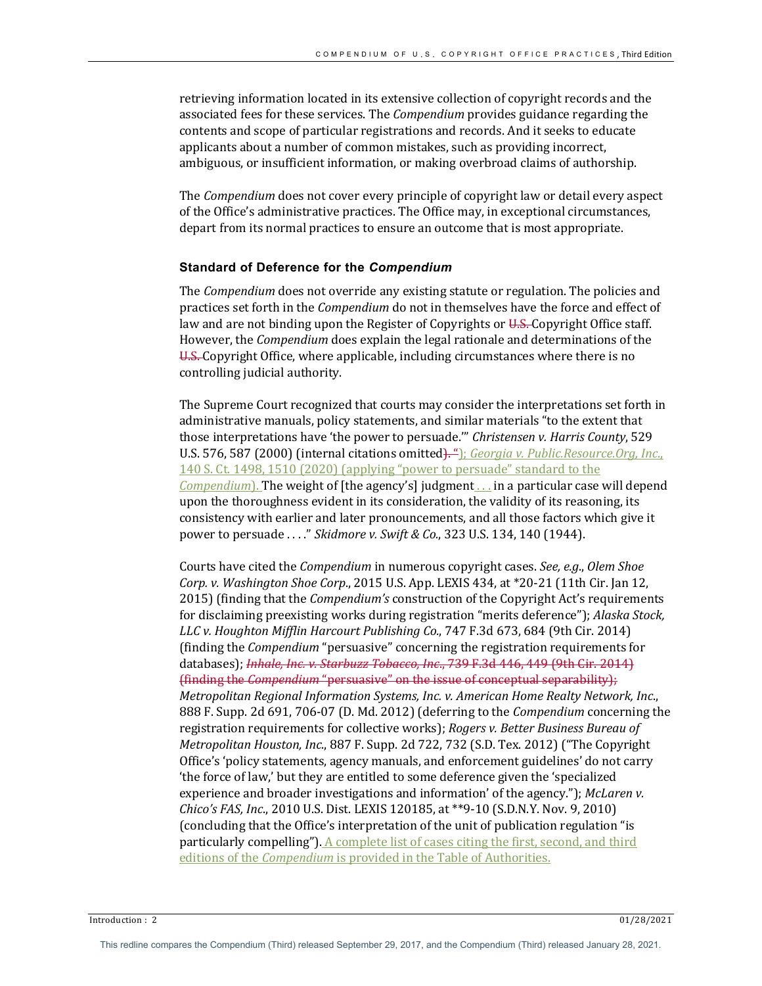retrieving information located in its extensive collection of copyright records and the associated fees for these services. The *Compendium* provides guidance regarding the contents and scope of particular registrations and records. And it seeks to educate applicants about a number of common mistakes, such as providing incorrect, ambiguous, or insufficient information, or making overbroad claims of authorship.

The *Compendium* does not cover every principle of copyright law or detail every aspect of the Office's administrative practices. The Office may, in exceptional circumstances, depart from its normal practices to ensure an outcome that is most appropriate.

### **Standard of Deference for the** *Compendium*

The *Compendium* does not override any existing statute or regulation. The policies and practices set forth in the *Compendium* do not in themselves have the force and effect of law and are not binding upon the Register of Copyrights or  $U.S.$  Copyright Office staff. However, the *Compendium* does explain the legal rationale and determinations of the U.S. Copyright Office, where applicable, including circumstances where there is no controlling judicial authority.

The Supreme Court recognized that courts may consider the interpretations set forth in administrative manuals, policy statements, and similar materials "to the extent that those interpretations have 'the power to persuade.'" *Christensen v. Harris County*, 529 U.S. 576, 587 (2000) (internal citations omitted). "1; *Georgia v. Public.Resource.Org, Inc.*, 140 S. Ct. 1498, 1510 (2020) (applying "power to persuade" standard to the *Compendium*). The weight of [the agency's] judgment.... in a particular case will depend upon the thoroughness evident in its consideration, the validity of its reasoning, its consistency with earlier and later pronouncements, and all those factors which give it power to persuade ...." Skidmore v. Swift & Co., 323 U.S. 134, 140 (1944).

Courts have cited the *Compendium* in numerous copyright cases. See, e.g., Olem Shoe *Corp.* v. *Washington Shoe Corp.*, 2015 U.S. App. LEXIS 434, at \*20-21 (11th Cir. Jan 12, 2015) (finding that the *Compendium's* construction of the Copyright Act's requirements for disclaiming preexisting works during registration "merits deference"); Alaska Stock, *LLC* v. Houghton Mifflin Harcourt Publishing Co., 747 F.3d 673, 684 (9th Cir. 2014) (finding the *Compendium* "persuasive" concerning the registration requirements for databases); *Inhale, Inc. v. Starbuzz Tobacco, Inc.*, 739 F.3d 446, 449 (9th Cir. 2014) *(finding the Compendium* "persuasive" on the issue of conceptual separability); *Metropolitan Regional Information Systems, Inc. v. American Home Realty Network, Inc.,* 888 F. Supp. 2d 691, 706-07 (D. Md. 2012) (deferring to the *Compendium* concerning the registration requirements for collective works); *Rogers v. Better Business Bureau of Metropolitan Houston, Inc.*, 887 F. Supp. 2d 722, 732 (S.D. Tex. 2012) ("The Copyright Office's 'policy statements, agency manuals, and enforcement guidelines' do not carry 'the force of law,' but they are entitled to some deference given the 'specialized experience and broader investigations and information' of the agency."); McLaren v. *Chico's FAS, Inc.*, 2010 U.S. Dist. LEXIS 120185, at \*\*9-10 (S.D.N.Y. Nov. 9, 2010) (concluding that the Office's interpretation of the unit of publication regulation "is particularly compelling"). A complete list of cases citing the first, second, and third editions of the *Compendium* is provided in the Table of Authorities.

 $\frac{1}{2}$  Introduction : 2 01/28/2021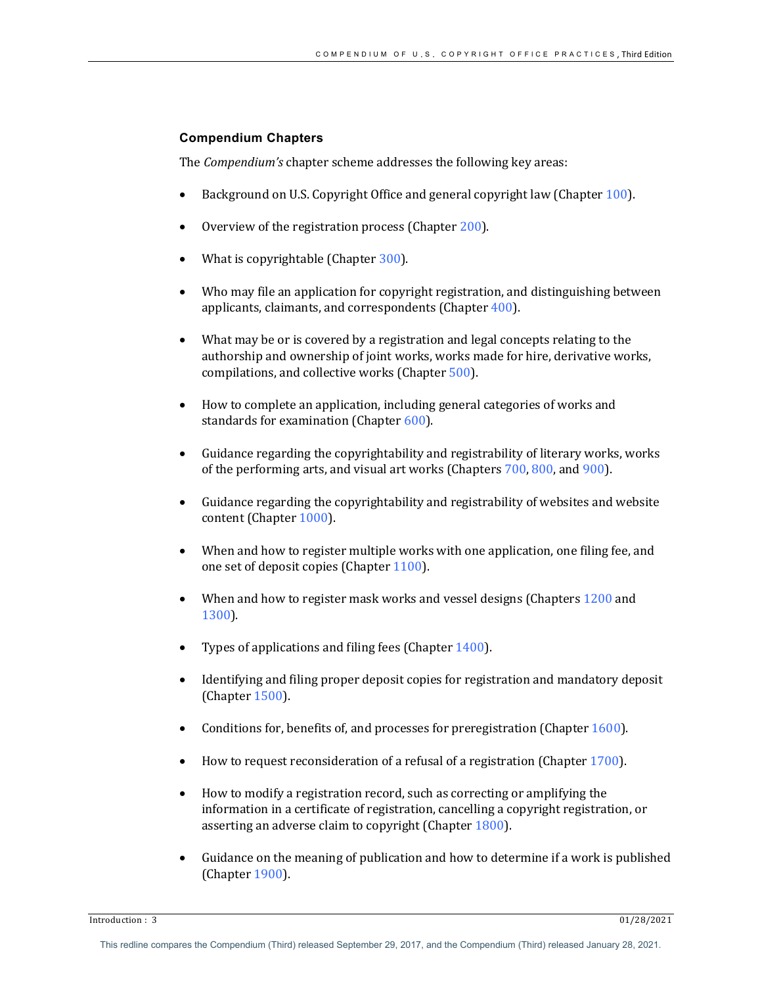## **Compendium Chapters**

The *Compendium's* chapter scheme addresses the following key areas:

- Background on U.S. Copyright Office and general copyright law (Chapter  $100$ ).
- Overview of the registration process (Chapter 200).
- What is copyrightable (Chapter  $300$ ).
- Who may file an application for copyright registration, and distinguishing between applicants, claimants, and correspondents (Chapter  $400$ ).
- What may be or is covered by a registration and legal concepts relating to the authorship and ownership of joint works, works made for hire, derivative works, compilations, and collective works (Chapter 500).
- How to complete an application, including general categories of works and standards for examination (Chapter  $600$ ).
- Guidance regarding the copyrightability and registrability of literary works, works of the performing arts, and visual art works (Chapters 700, 800, and 900).
- Guidance regarding the copyrightability and registrability of websites and website content (Chapter 1000).
- When and how to register multiple works with one application, one filing fee, and one set of deposit copies (Chapter 1100).
- When and how to register mask works and vessel designs (Chapters 1200 and 1300).
- Types of applications and filing fees (Chapter  $1400$ ).
- Identifying and filing proper deposit copies for registration and mandatory deposit (Chapter 1500).
- Conditions for, benefits of, and processes for preregistration (Chapter  $1600$ ).
- How to request reconsideration of a refusal of a registration (Chapter  $1700$ ).
- How to modify a registration record, such as correcting or amplifying the information in a certificate of registration, cancelling a copyright registration, or asserting an adverse claim to copyright (Chapter 1800).
- Guidance on the meaning of publication and how to determine if a work is published (Chapter 1900).

**Introduction :** 3 01/28/2021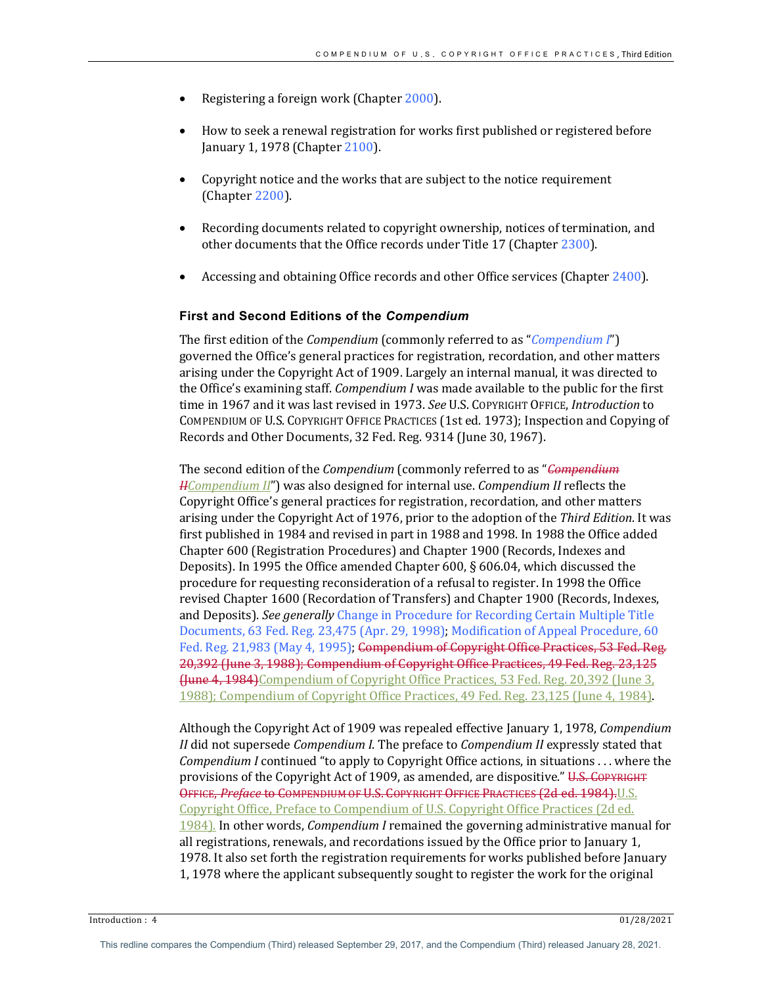- Registering a foreign work (Chapter 2000).
- How to seek a renewal registration for works first published or registered before January 1, 1978 (Chapter 2100).
- Copyright notice and the works that are subject to the notice requirement (Chapter 2200).
- Recording documents related to copyright ownership, notices of termination, and other documents that the Office records under Title 17 (Chapter 2300).
- Accessing and obtaining Office records and other Office services (Chapter 2400).

### **First and Second Editions of the** *Compendium*

The first edition of the *Compendium* (commonly referred to as "*Compendium I*") governed the Office's general practices for registration, recordation, and other matters arising under the Copyright Act of 1909. Largely an internal manual, it was directed to the Office's examining staff. *Compendium I* was made available to the public for the first time in 1967 and it was last revised in 1973. See U.S. COPYRIGHT OFFICE, Introduction to COMPENDIUM OF U.S. COPYRIGHT OFFICE PRACTICES (1st ed. 1973); Inspection and Copying of Records and Other Documents, 32 Fed. Reg. 9314 (June 30, 1967).

The second edition of the *Compendium* (commonly referred to as "*Compendium HCompendium II*") was also designed for internal use. *Compendium II* reflects the Copyright Office's general practices for registration, recordation, and other matters arising under the Copyright Act of 1976, prior to the adoption of the *Third Edition*. It was first published in 1984 and revised in part in 1988 and 1998. In 1988 the Office added Chapter 600 (Registration Procedures) and Chapter 1900 (Records, Indexes and Deposits). In 1995 the Office amended Chapter 600, § 606.04, which discussed the procedure for requesting reconsideration of a refusal to register. In 1998 the Office revised Chapter 1600 (Recordation of Transfers) and Chapter 1900 (Records, Indexes, and Deposits). See generally Change in Procedure for Recording Certain Multiple Title Documents, 63 Fed. Reg. 23,475 (Apr. 29, 1998); Modification of Appeal Procedure, 60 Fed. Reg. 21,983 (May 4, 1995); Compendium of Copyright Office Practices, 53 Fed. Reg. 20,392 (June 3, 1988); Compendium of Copyright Office Practices, 49 Fed. Reg. 23,125 Hune 4, 1984)Compendium of Copyright Office Practices, 53 Fed. Reg. 20,392 (June 3, 1988); Compendium of Copyright Office Practices, 49 Fed. Reg. 23,125 (June 4, 1984).

Although the Copyright Act of 1909 was repealed effective January 1, 1978, *Compendium II* did not supersede *Compendium I*. The preface to *Compendium II* expressly stated that *Compendium I* continued "to apply to Copyright Office actions, in situations . . . where the provisions of the Copyright Act of 1909, as amended, are dispositive." U.S. COPYRIGHT OFFICE, Preface to COMPENDIUM OF U.S. COPYRIGHT OFFICE PRACTICES (2d ed. 1984). U.S. Copyright Office, Preface to Compendium of U.S. Copyright Office Practices (2d ed. 1984). In other words, *Compendium I* remained the governing administrative manual for all registrations, renewals, and recordations issued by the Office prior to January 1, 1978. It also set forth the registration requirements for works published before January 1, 1978 where the applicant subsequently sought to register the work for the original

 $\frac{1}{28}/2021$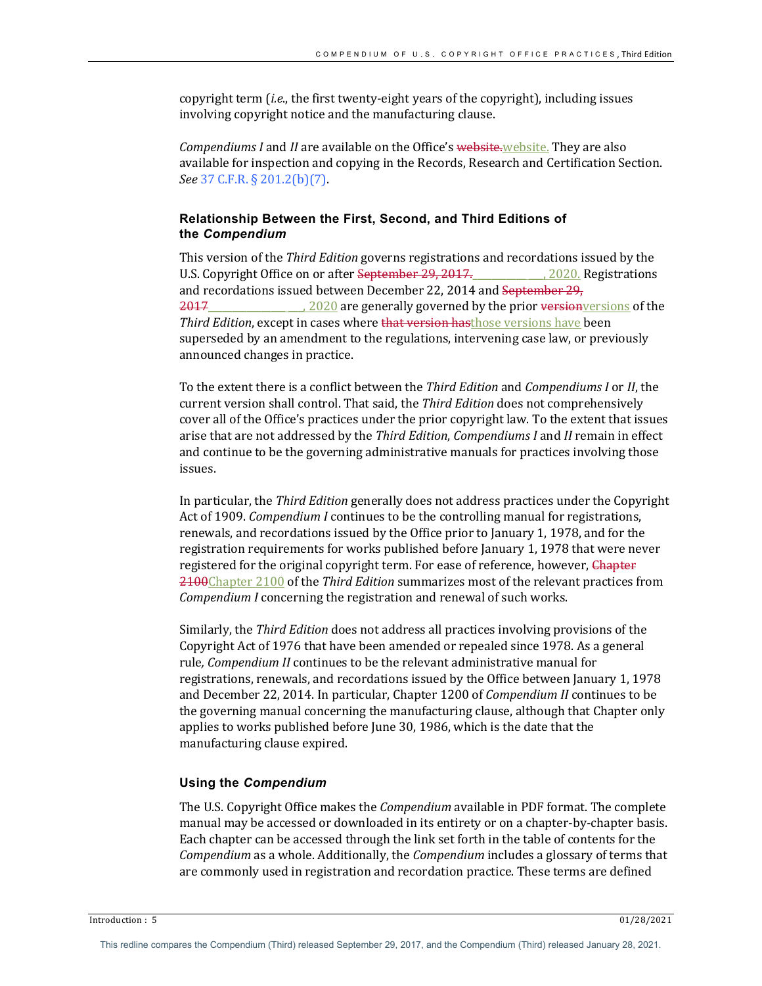copyright term *(i.e.*, the first twenty-eight years of the copyright), including issues involving copyright notice and the manufacturing clause.

*Compendiums I* and *II* are available on the Office's website.website. They are also available for inspection and copying in the Records, Research and Certification Section. *See* 37 C.F.R. § 201.2(b)(7).

## **Relationship Between the First, Second, and Third Editions of the** *Compendium*

This version of the *Third Edition* governs registrations and recordations issued by the U.S. Copyright Office on or after September 29, 2017. 2020. Registrations and recordations issued between December 22, 2014 and September 29, 2017\_\_\_\_\_\_\_\_\_\_\_\_\_\_\_\_, 2020 are generally governed by the prior version versions of the *Third Edition*, except in cases where that version hasthose versions have been superseded by an amendment to the regulations, intervening case law, or previously announced changes in practice.

To the extent there is a conflict between the *Third Edition* and *Compendiums I* or *II*, the current version shall control. That said, the *Third Edition* does not comprehensively cover all of the Office's practices under the prior copyright law. To the extent that issues arise that are not addressed by the *Third Edition*, *Compendiums I* and *II* remain in effect and continue to be the governing administrative manuals for practices involving those issues.

In particular, the *Third Edition* generally does not address practices under the Copyright Act of 1909. *Compendium I* continues to be the controlling manual for registrations, renewals, and recordations issued by the Office prior to January 1, 1978, and for the registration requirements for works published before January 1, 1978 that were never registered for the original copyright term. For ease of reference, however, Chapter 2100Chapter 2100 of the *Third Edition* summarizes most of the relevant practices from *Compendium I* concerning the registration and renewal of such works.

Similarly, the *Third Edition* does not address all practices involving provisions of the Copyright Act of 1976 that have been amended or repealed since 1978. As a general rule, Compendium II continues to be the relevant administrative manual for registrations, renewals, and recordations issued by the Office between January 1, 1978 and December 22, 2014. In particular, Chapter 1200 of *Compendium II* continues to be the governing manual concerning the manufacturing clause, although that Chapter only applies to works published before June 30, 1986, which is the date that the manufacturing clause expired.

#### **Using the** *Compendium*

The U.S. Copyright Office makes the *Compendium* available in PDF format. The complete manual may be accessed or downloaded in its entirety or on a chapter-by-chapter basis. Each chapter can be accessed through the link set forth in the table of contents for the *Compendium* as a whole. Additionally, the *Compendium* includes a glossary of terms that are commonly used in registration and recordation practice. These terms are defined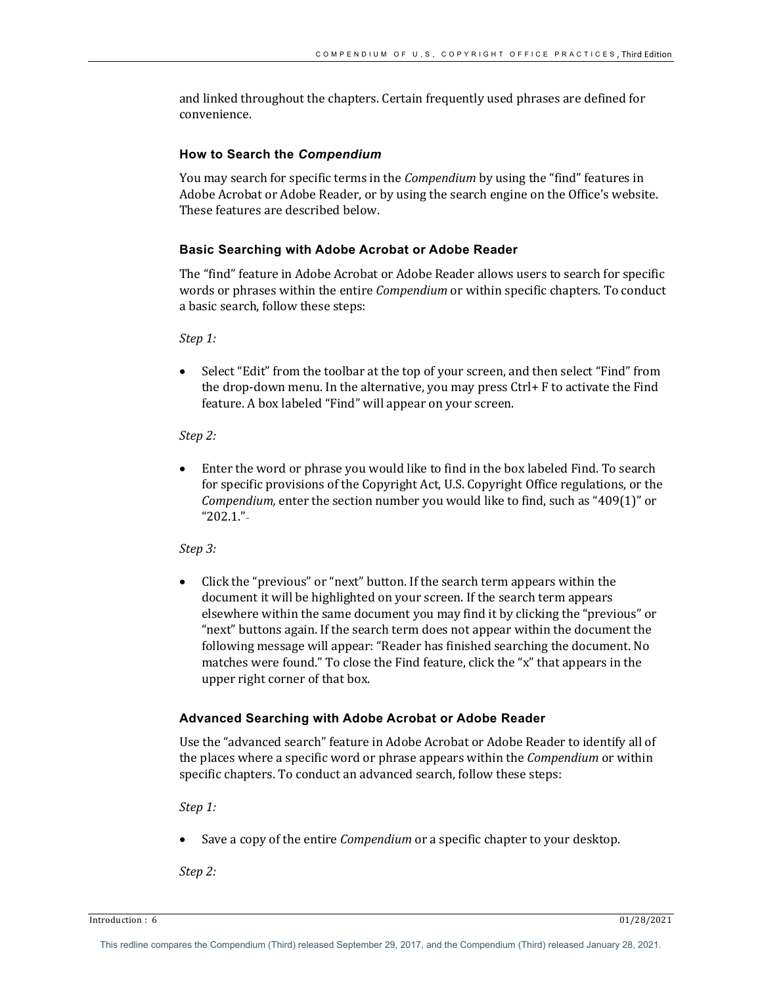and linked throughout the chapters. Certain frequently used phrases are defined for convenience.

## **How to Search the** *Compendium*

You may search for specific terms in the *Compendium* by using the "find" features in Adobe Acrobat or Adobe Reader, or by using the search engine on the Office's website. These features are described below.

## **Basic Searching with Adobe Acrobat or Adobe Reader**

The "find" feature in Adobe Acrobat or Adobe Reader allows users to search for specific words or phrases within the entire *Compendium* or within specific chapters. To conduct a basic search, follow these steps:

*Step 1:*

Select "Edit" from the toolbar at the top of your screen, and then select "Find" from the drop-down menu. In the alternative, you may press  $Ctrl+ F$  to activate the Find feature. A box labeled "Find" will appear on your screen.

*Step 2:* 

Enter the word or phrase you would like to find in the box labeled Find. To search for specific provisions of the Copyright Act, U.S. Copyright Office regulations, or the *Compendium,* enter the section number you would like to find, such as "409(1)" or "202.1."

*Step 3:*

Click the "previous" or "next" button. If the search term appears within the document it will be highlighted on your screen. If the search term appears elsewhere within the same document you may find it by clicking the "previous" or "next" buttons again. If the search term does not appear within the document the following message will appear: "Reader has finished searching the document. No matches were found." To close the Find feature, click the "x" that appears in the upper right corner of that box.

## **Advanced Searching with Adobe Acrobat or Adobe Reader**

Use the "advanced search" feature in Adobe Acrobat or Adobe Reader to identify all of the places where a specific word or phrase appears within the *Compendium* or within specific chapters. To conduct an advanced search, follow these steps:

*Step 1:*

Save a copy of the entire *Compendium* or a specific chapter to your desktop.

*Step 2:*

 $\frac{1}{28/2021}$